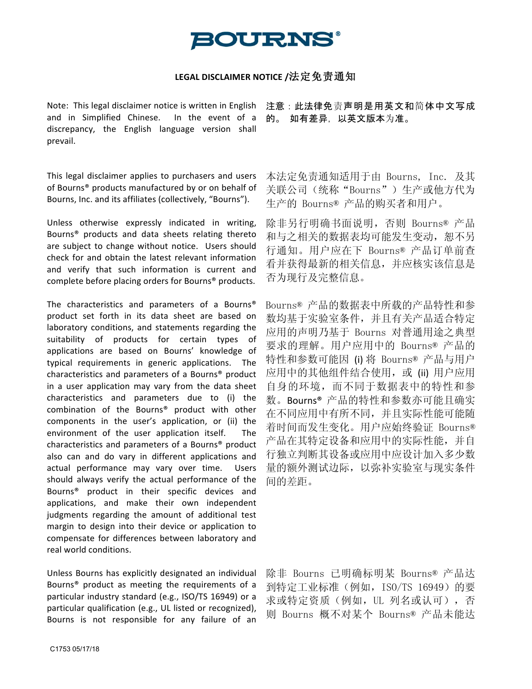## **BOURNS**

## LEGAL DISCLAIMER NOTICE /法定免责通知

Note: This legal disclaimer notice is written in English and in Simplified Chinese. In the event of a discrepancy, the English language version shall prevail.

This legal disclaimer applies to purchasers and users of Bourns® products manufactured by or on behalf of Bourns, Inc. and its affiliates (collectively, "Bourns").

Unless otherwise expressly indicated in writing, Bourns® products and data sheets relating thereto are subject to change without notice. Users should check for and obtain the latest relevant information and verify that such information is current and complete before placing orders for Bourns® products.

The characteristics and parameters of a Bourns® product set forth in its data sheet are based on laboratory conditions, and statements regarding the suitability of products for certain types of applications are based on Bourns' knowledge of typical requirements in generic applications. The characteristics and parameters of a Bourns<sup>®</sup> product in a user application may vary from the data sheet characteristics and parameters due to (i) the combination of the Bourns® product with other components in the user's application, or (ii) the environment of the user application itself. The characteristics and parameters of a Bourns<sup>®</sup> product also can and do vary in different applications and actual performance may vary over time. Users should always verify the actual performance of the Bourns<sup>®</sup> product in their specific devices and applications, and make their own independent judgments regarding the amount of additional test margin to design into their device or application to compensate for differences between laboratory and real world conditions.

Unless Bourns has explicitly designated an individual Bourns<sup>®</sup> product as meeting the requirements of a particular industry standard (e.g., ISO/TS 16949) or a particular qualification (e.g., UL listed or recognized), Bourns is not responsible for any failure of an

注意:此法律免责声明是用英文和简体中文写成 的。 如有差异,以英文版本为准。

本法定免责通知适用于由 Bourns, Inc. 及其 关联公司(统称"Bourns")生产或他方代为 生产的 Bourns® 产品的购买者和用户。

除非另行明确书面说明,否则 Bourns® 产品 和与之相关的数据表均可能发生变动,恕不另 行通知。用户应在下 Bourns® 产品订单前查 看并获得最新的相关信息,并应核实该信息是 否为现行及完整信息。

Bourns® 产品的数据表中所载的产品特性和参 数均基于实验室条件,并且有关产品适合特定 应用的声明乃基于 Bourns 对普通用途之典型 要求的理解。用户应用中的 Bourns® 产品的 特性和参数可能因 (i) 将 Bourns® 产品与用户 应用中的其他组件结合使用,或 (ii) 用户应用 自身的环境,而不同于数据表中的特性和参 数。Bourns® 产品的特性和参数亦可能且确实 在不同应用中有所不同,并且实际性能可能随 着时间而发生变化。用户应始终验证 Bourns® 产品在其特定设备和应用中的实际性能,并自 行独立判断其设备或应用中应设计加入多少数 量的额外测试边际,以弥补实验室与现实条件 间的差距。

除非 Bourns 已明确标明某 Bourns® 产品达 到特定工业标准(例如, ISO/TS 16949)的要 求或特定资质(例如, UL 列名或认可), 否 则 Bourns 概不对某个 Bourns® 产品未能达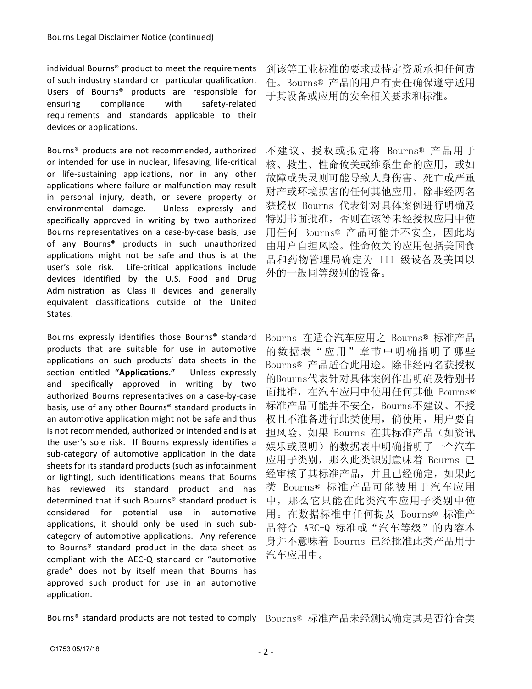individual Bourns<sup>®</sup> product to meet the requirements of such industry standard or particular qualification. Users of Bourns® products are responsible for ensuring compliance with safety-related requirements and standards applicable to their devices or applications.

Bourns<sup>®</sup> products are not recommended, authorized or intended for use in nuclear, lifesaving, life-critical or life-sustaining applications, nor in any other applications where failure or malfunction may result in personal injury, death, or severe property or environmental damage. Unless expressly and specifically approved in writing by two authorized Bourns representatives on a case-by-case basis, use of any Bourns® products in such unauthorized applications might not be safe and thus is at the user's sole risk. Life-critical applications include devices identified by the U.S. Food and Drug Administration as Class III devices and generally equivalent classifications outside of the United States.

Bourns expressly identifies those Bourns<sup>®</sup> standard products that are suitable for use in automotive applications on such products' data sheets in the section entitled "Applications." Unless expressly and specifically approved in writing by two authorized Bourns representatives on a case-by-case basis, use of any other Bourns<sup>®</sup> standard products in an automotive application might not be safe and thus is not recommended, authorized or intended and is at the user's sole risk. If Bourns expressly identifies a sub-category of automotive application in the data sheets for its standard products (such as infotainment or lighting), such identifications means that Bourns has reviewed its standard product and has determined that if such Bourns® standard product is considered for potential use in automotive applications, it should only be used in such subcategory of automotive applications. Any reference to Bourns<sup>®</sup> standard product in the data sheet as compliant with the AEC-Q standard or "automotive grade" does not by itself mean that Bourns has approved such product for use in an automotive application.

到该等工业标准的要求或特定资质承担任何责 任。Bourns® 产品的用户有责任确保遵守适用 于其设备或应用的安全相关要求和标准。

不建议、授权或拟定将 Bourns® 产品用于 核、救生、性命攸关或维系生命的应用,或如 故障或失灵则可能导致人身伤害、死亡或严重 财产或环境损害的任何其他应用。除非经两名 获授权 Bourns 代表针对具体案例进行明确及 特别书面批准,否则在该等未经授权应用中使 用任何 Bourns® 产品可能并不安全, 因此均 由用户自担风险。性命攸关的应用包括美国食 品和药物管理局确定为 III 级设备及美国以 外的一般同等级别的设备。

Bourns 在适合汽车应用之 Bourns® 标准产品 的数据表"应用"章节中明确指明了哪些 Bourns® 产品适合此用途。除非经两名获授权 的Bourns代表针对具体案例作出明确及特别书 面批准,在汽车应用中使用任何其他 Bourns® 标准产品可能并不安全,Bourns不建议、不授 权且不准备进行此类使用,倘使用,用户要自 担风险。如果 Bourns 在其标准产品(如资讯 娱乐或照明)的数据表中明确指明了一个汽车 应用子类别, 那么此类识别意味着 Bourns 已 经审核了其标准产品,并且已经确定,如果此 类 Bourns® 标准产品可能被用于汽车应用 中,那么它只能在此类汽车应用子类别中使 用。在数据标准中任何提及 Bourns® 标准产 品符合 AEC-Q 标准或"汽车等级"的内容本 身并不意味着 Bourns 已经批准此类产品用于 汽车应用中。

Bourns<sup>®</sup> standard products are not tested to comply Bourns® 标准产品未经测试确定其是否符合美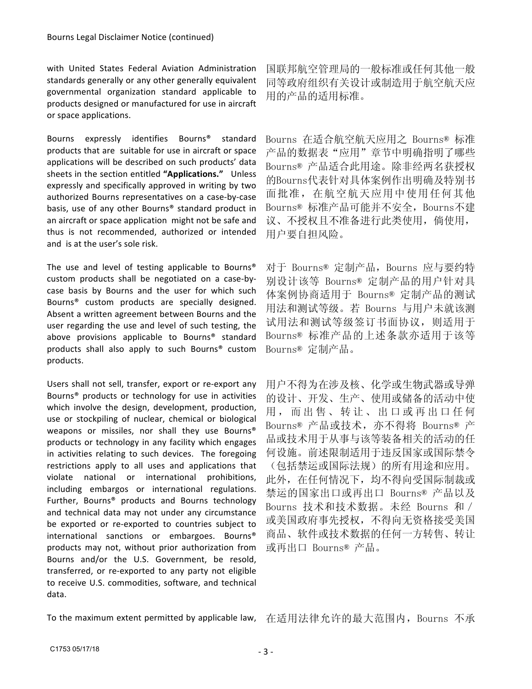with United States Federal Aviation Administration standards generally or any other generally equivalent governmental organization standard applicable to products designed or manufactured for use in aircraft or space applications.

Bourns expressly identifies Bourns® standard products that are suitable for use in aircraft or space applications will be described on such products' data sheets in the section entitled "Applications." Unless expressly and specifically approved in writing by two authorized Bourns representatives on a case-by-case basis, use of any other Bourns<sup>®</sup> standard product in an aircraft or space application might not be safe and thus is not recommended, authorized or intended and is at the user's sole risk.

The use and level of testing applicable to Bourns® custom products shall be negotiated on a case-bycase basis by Bourns and the user for which such Bourns<sup>®</sup> custom products are specially designed. Absent a written agreement between Bourns and the user regarding the use and level of such testing, the above provisions applicable to Bourns® standard products shall also apply to such Bourns<sup>®</sup> custom products.

Users shall not sell, transfer, export or re-export any Bourns<sup>®</sup> products or technology for use in activities which involve the design, development, production, use or stockpiling of nuclear, chemical or biological weapons or missiles, nor shall they use Bourns® products or technology in any facility which engages in activities relating to such devices. The foregoing restrictions apply to all uses and applications that violate national or international prohibitions, including embargos or international regulations. Further, Bourns® products and Bourns technology and technical data may not under any circumstance be exported or re-exported to countries subject to international sanctions or embargoes. Bourns® products may not, without prior authorization from Bourns and/or the U.S. Government, be resold, transferred, or re-exported to any party not eligible to receive U.S. commodities, software, and technical data.

国联邦航空管理局的一般标准或任何其他一般 同等政府组织有关设计或制造用于航空航天应 用的产品的适用标准。

Bourns 在适合航空航天应用之 Bourns® 标准 产品的数据表"应用"章节中明确指明了哪些 Bourns® 产品适合此用途。除非经两名获授权 的Bourns代表针对具体案例作出明确及特别书 面批准,在航空航天应用中使用任何其他 Bourns® 标准产品可能并不安全,Bourns不建 议、不授权且不准备进行此类使用,倘使用, 用户要自担风险。

对于 Bourns® 定制产品, Bourns 应与要约特 别设计该等 Bourns® 定制产品的用户针对具 体案例协商适用于 Bourns® 定制产品的测试 用法和测试等级。若 Bourns 与用户未就该测 试用法和测试等级签订书面协议,则适用于 Bourns® 标准产品的上述条款亦适用于该等 Bourns® 定制产品。

用户不得为在涉及核、化学或生物武器或导弹 的设计、开发、生产、使用或储备的活动中使 用,而出售、转让、出口或再出口任何 Bourns® 产品或技术,亦不得将 Bourns® 产 品或技术用于从事与该等装备相关的活动的任 何设施。前述限制适用于违反国家或国际禁令 (包括禁运或国际法规)的所有用途和应用。 此外,在任何情况下,均不得向受国际制裁或 禁运的国家出口或再出口 Bourns® 产品以及 Bourns 技术和技术数据。未经 Bourns 和/ 或美国政府事先授权,不得向无资格接受美国 商品、软件或技术数据的任何一方转售、转让 或再出口 Bourns® 产品。

To the maximum extent permitted by applicable law, 在适用法律允许的最大范围内, Bourns 不承